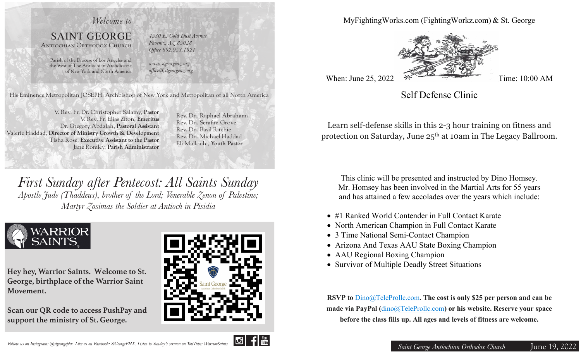

His Eminence Metropolitan JOSEPH, Archbishop of New York and Metropolitan of all North America

V. Rev. Fr. Dr. Christopher Salamy, **Pastor** V. Rev. Fr. Elias Ziton, **Emeritus** Dr. Gregory Abdalah, **Pastoral Assistant**  Valerie Haddad, **Director of Ministry Growth & Development** Tisha Rose, **Executive Assistant to the Pastor** Jane Romley, **Parish Administrator**

Rev. Dn. Raphael Abrahams Rev. Dn. Serafim Grove Rev. Dn. Basil Ritchie Rev. Dn. Michael Haddad Eli Mallouhi, **Youth Pastor**

*First Sunday after Pentecost: All Saints Sunday Apostle Jude (Thaddeus), brother of the Lord; Venerable Zenon of Palestine; Martyr Zosimas the Soldier at Antioch in Pisidia*



**Hey hey, Warrior Saints. Welcome to St. George, birthplace of the Warrior Saint Movement.** 

**Scan our QR code to access PushPay and support the ministry of St. George.**



MyFightingWorks.com (FightingWorkz.com) & St. George



Self Defense Clinic

Learn self-defense skills in this 2-3 hour training on fitness and protection on Saturday, June 25th at 10am in The Legacy Ballroom.

This clinic will be presented and instructed by Dino Homsey. Mr. Homsey has been involved in the Martial Arts for 55 years and has attained a few accolades over the years which include:

- #1 Ranked World Contender in Full Contact Karate
- North American Champion in Full Contact Karate
- 3 Time National Semi-Contact Champion
- Arizona And Texas AAU State Boxing Champion
- AAU Regional Boxing Champion
- Survivor of Multiple Deadly Street Situations

**RSVP to** Dino@TeleProllc.com**. The cost is only \$25 per person and can be made via PayPal (**dino@TeleProllc.com**) or his website. Reserve your space before the class fills up. All ages and levels of fitness are welcome.**

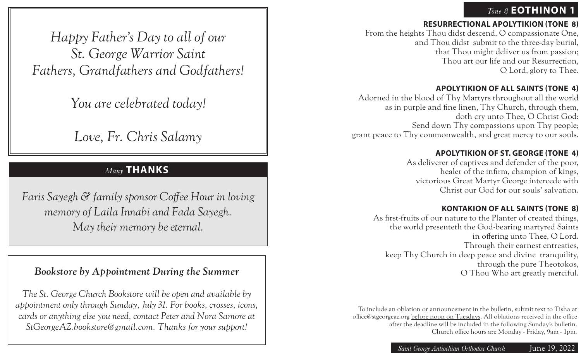## *Tone 8* **EOTHINON 1**

*Happy Father's Day to all of our St. George Warrior Saint Fathers, Grandfathers and Godfathers!*

*You are celebrated today!*

*Love, Fr. Chris Salamy*

# *Many* **THANKS**

*Faris Sayegh & family sponsor Coffee Hour in loving memory of Laila Innabi and Fada Sayegh. May their memory be eternal.* 

## *Bookstore by Appointment During the Summer*

*The St. George Church Bookstore will be open and available by appointment only through Sunday, July 31. For books, crosses, icons, cards or anything else you need, contact Peter and Nora Samore at StGeorgeAZ.bookstore@gmail.com. Thanks for your support!*

## **RESURRECTIONAL APOLYTIKION (TONE 8)**

From the heights Thou didst descend, O compassionate One, and Thou didst submit to the three-day burial, that Thou might deliver us from passion; Thou art our life and our Resurrection, O Lord, glory to Thee.

## **APOLYTIKION OF ALL SAINTS (TONE 4)**

Adorned in the blood of Thy Martyrs throughout all the world as in purple and fine linen, Thy Church, through them, doth cry unto Thee, O Christ God: Send down Thy compassions upon Thy people; grant peace to Thy commonwealth, and great mercy to our souls.

## **APOLYTIKION OF ST. GEORGE (TONE 4)**

As deliverer of captives and defender of the poor, healer of the infirm, champion of kings, victorious Great Martyr George intercede with Christ our God for our souls' salvation.

## **KONTAKION OF ALL SAINTS (TONE 8)**

As first-fruits of our nature to the Planter of created things, the world presenteth the God-bearing martyred Saints in offering unto Thee, O Lord. Through their earnest entreaties, keep Thy Church in deep peace and divine tranquility, through the pure Theotokos, O Thou Who art greatly merciful.

To include an oblation or announcement in the bulletin, submit text to Tisha at office@stgeorgeaz.org before noon on Tuesdays. All oblations received in the office after the deadline will be included in the following Sunday's bulletin. Church office hours are Monday - Friday, 9am - 1pm.

*Saint George Antiochian Orthodox Church* June 19, 2022